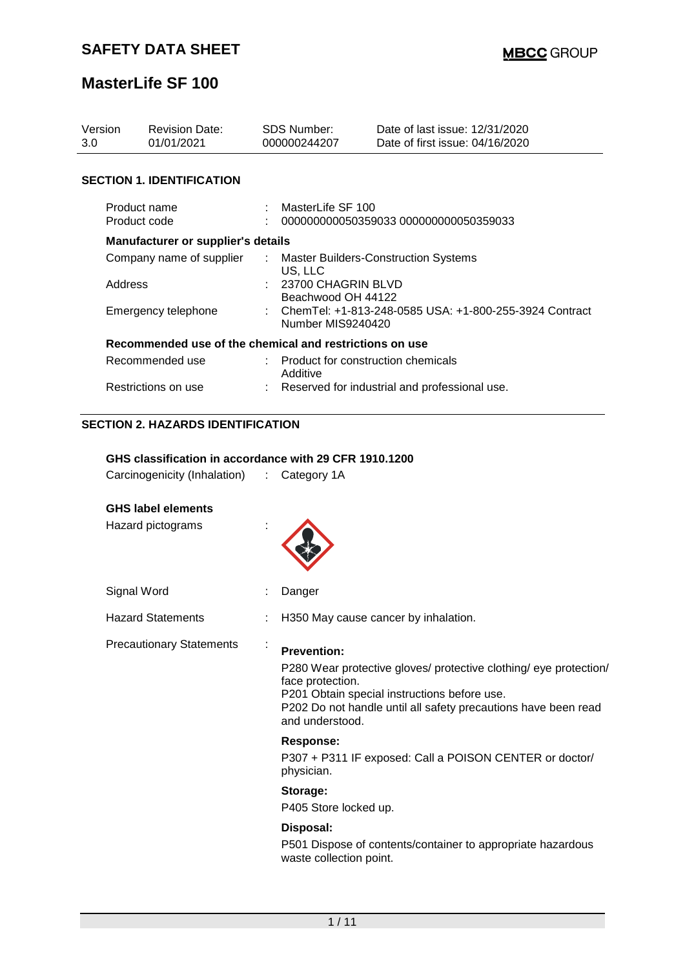| Version<br>3.0                                          | <b>Revision Date:</b><br>01/01/2021                    |   | <b>SDS Number:</b><br>000000244207                         | Date of last issue: 12/31/2020<br>Date of first issue: 04/16/2020 |  |  |  |
|---------------------------------------------------------|--------------------------------------------------------|---|------------------------------------------------------------|-------------------------------------------------------------------|--|--|--|
|                                                         | <b>SECTION 1. IDENTIFICATION</b>                       |   |                                                            |                                                                   |  |  |  |
|                                                         | Product name<br>Product code                           |   | MasterLife SF 100<br>000000000050359033 000000000050359033 |                                                                   |  |  |  |
|                                                         | Manufacturer or supplier's details                     |   |                                                            |                                                                   |  |  |  |
|                                                         | Company name of supplier                               | ÷ |                                                            | <b>Master Builders-Construction Systems</b>                       |  |  |  |
|                                                         | Address                                                |   | US, LLC<br>23700 CHAGRIN BLVD<br>Beachwood OH 44122        |                                                                   |  |  |  |
|                                                         | Emergency telephone                                    |   | Number MIS9240420                                          | ChemTel: +1-813-248-0585 USA: +1-800-255-3924 Contract            |  |  |  |
| Recommended use of the chemical and restrictions on use |                                                        |   |                                                            |                                                                   |  |  |  |
| Recommended use                                         |                                                        |   | Product for construction chemicals<br>Additive             |                                                                   |  |  |  |
| Restrictions on use                                     |                                                        |   | Reserved for industrial and professional use.              |                                                                   |  |  |  |
|                                                         | <b>SECTION 2. HAZARDS IDENTIFICATION</b>               |   |                                                            |                                                                   |  |  |  |
|                                                         | GHS classification in accordance with 29 CFR 1910.1200 |   |                                                            |                                                                   |  |  |  |
|                                                         | Carcinogenicity (Inhalation) : Category 1A             |   |                                                            |                                                                   |  |  |  |
|                                                         |                                                        |   |                                                            |                                                                   |  |  |  |
|                                                         | <b>GHS label elements</b>                              |   |                                                            |                                                                   |  |  |  |
|                                                         | Hazard pictograms                                      |   |                                                            |                                                                   |  |  |  |
|                                                         | Signal Word                                            |   | Danger                                                     |                                                                   |  |  |  |
|                                                         | <b>Hazard Statements</b>                               |   |                                                            | H350 May cause cancer by inhalation.                              |  |  |  |
|                                                         | <b>Precautionary Statements</b>                        |   | <b>Prevention:</b>                                         |                                                                   |  |  |  |

P280 Wear protective gloves/ protective clothing/ eye protection/ face protection. P201 Obtain special instructions before use. P202 Do not handle until all safety precautions have been read and understood.

#### **Response:**

P307 + P311 IF exposed: Call a POISON CENTER or doctor/ physician.

#### **Storage:**

P405 Store locked up.

## **Disposal:**

P501 Dispose of contents/container to appropriate hazardous waste collection point.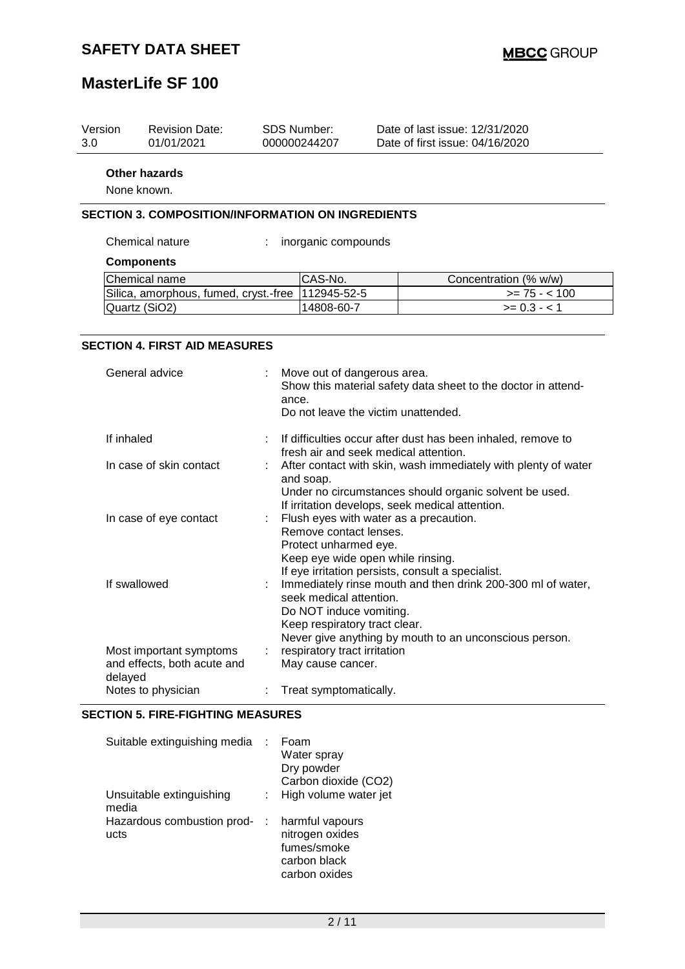| Version | <b>Revision Date:</b> | SDS Number:  | Date of last issue: 12/31/2020  |
|---------|-----------------------|--------------|---------------------------------|
| 3.0     | 01/01/2021            | 000000244207 | Date of first issue: 04/16/2020 |
|         | <b>Other hazards</b>  |              |                                 |

None known.

#### **SECTION 3. COMPOSITION/INFORMATION ON INGREDIENTS**

Chemical nature : inorganic compounds

#### **Components**

| Chemical name                                       | CAS-No.    | Concentration (% w/w) |
|-----------------------------------------------------|------------|-----------------------|
| Silica, amorphous, fumed, cryst.-free   112945-52-5 |            | $\ge$ 75 - < 100      |
| Quartz (SiO2)                                       | 14808-60-7 | $>= 0.3 - 1$          |

#### **SECTION 4. FIRST AID MEASURES**

| General advice                                                    | Move out of dangerous area.<br>Show this material safety data sheet to the doctor in attend-<br>ance.<br>Do not leave the victim unattended.                                                                   |
|-------------------------------------------------------------------|----------------------------------------------------------------------------------------------------------------------------------------------------------------------------------------------------------------|
| If inhaled                                                        | : If difficulties occur after dust has been inhaled, remove to<br>fresh air and seek medical attention.                                                                                                        |
| In case of skin contact                                           | After contact with skin, wash immediately with plenty of water<br>and soap.<br>Under no circumstances should organic solvent be used.<br>If irritation develops, seek medical attention.                       |
| In case of eye contact                                            | : Flush eyes with water as a precaution.<br>Remove contact lenses.<br>Protect unharmed eye.<br>Keep eye wide open while rinsing.<br>If eye irritation persists, consult a specialist.                          |
| If swallowed                                                      | : Immediately rinse mouth and then drink 200-300 ml of water,<br>seek medical attention.<br>Do NOT induce vomiting.<br>Keep respiratory tract clear.<br>Never give anything by mouth to an unconscious person. |
| Most important symptoms<br>and effects, both acute and<br>delayed | respiratory tract irritation<br>May cause cancer.                                                                                                                                                              |
| Notes to physician                                                | Treat symptomatically.                                                                                                                                                                                         |

#### **SECTION 5. FIRE-FIGHTING MEASURES**

| Suitable extinguishing media       | Foam<br>Water spray<br>Dry powder<br>Carbon dioxide (CO2)                          |
|------------------------------------|------------------------------------------------------------------------------------|
| Unsuitable extinguishing<br>media  | High volume water jet                                                              |
| Hazardous combustion prod-<br>ucts | harmful vapours<br>nitrogen oxides<br>fumes/smoke<br>carbon black<br>carbon oxides |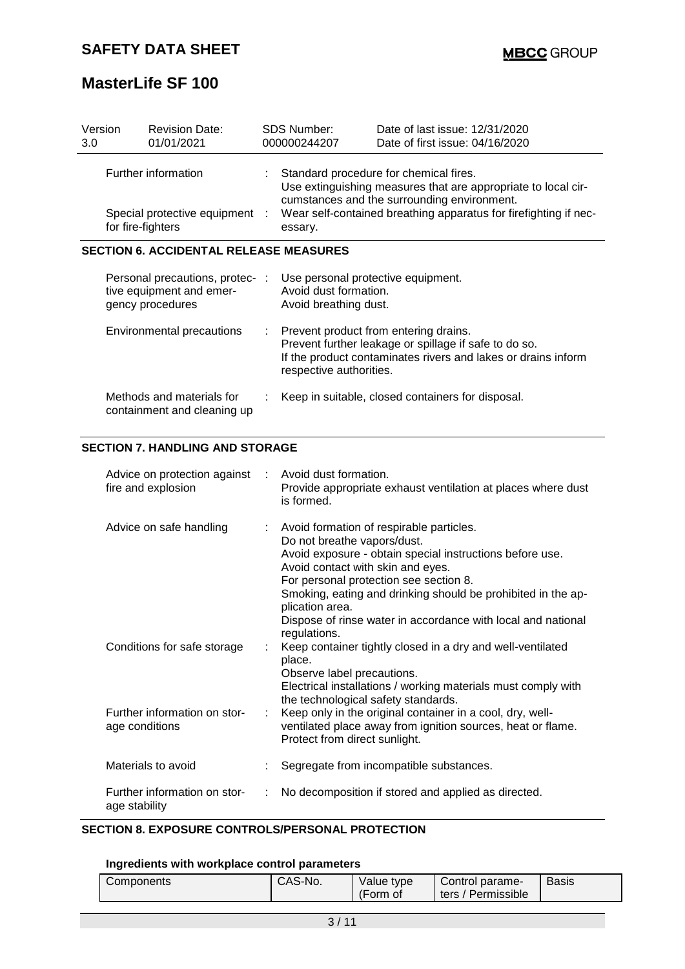| Version<br>3.0 |                                               | <b>Revision Date:</b><br>01/01/2021                                             |    | SDS Number:<br>000000244207                                                                         | Date of last issue: 12/31/2020<br>Date of first issue: 04/16/2020                                                                                                                                                                                                              |  |  |  |
|----------------|-----------------------------------------------|---------------------------------------------------------------------------------|----|-----------------------------------------------------------------------------------------------------|--------------------------------------------------------------------------------------------------------------------------------------------------------------------------------------------------------------------------------------------------------------------------------|--|--|--|
|                | for fire-fighters                             | Further information<br>Special protective equipment                             |    | essary.                                                                                             | Standard procedure for chemical fires.<br>Use extinguishing measures that are appropriate to local cir-<br>cumstances and the surrounding environment.<br>Wear self-contained breathing apparatus for firefighting if nec-                                                     |  |  |  |
|                | <b>SECTION 6. ACCIDENTAL RELEASE MEASURES</b> |                                                                                 |    |                                                                                                     |                                                                                                                                                                                                                                                                                |  |  |  |
|                |                                               | Personal precautions, protec- :<br>tive equipment and emer-<br>gency procedures |    | Use personal protective equipment.<br>Avoid dust formation.<br>Avoid breathing dust.                |                                                                                                                                                                                                                                                                                |  |  |  |
|                |                                               | <b>Environmental precautions</b>                                                | ÷. | respective authorities.                                                                             | Prevent product from entering drains.<br>Prevent further leakage or spillage if safe to do so.<br>If the product contaminates rivers and lakes or drains inform                                                                                                                |  |  |  |
|                |                                               | Methods and materials for<br>containment and cleaning up                        |    |                                                                                                     | Keep in suitable, closed containers for disposal.                                                                                                                                                                                                                              |  |  |  |
|                |                                               | <b>SECTION 7. HANDLING AND STORAGE</b>                                          |    |                                                                                                     |                                                                                                                                                                                                                                                                                |  |  |  |
|                |                                               | Advice on protection against<br>fire and explosion                              |    | Avoid dust formation.<br>is formed.                                                                 | Provide appropriate exhaust ventilation at places where dust                                                                                                                                                                                                                   |  |  |  |
|                |                                               | Advice on safe handling                                                         |    | Do not breathe vapors/dust.<br>Avoid contact with skin and eyes.<br>plication area.<br>regulations. | Avoid formation of respirable particles.<br>Avoid exposure - obtain special instructions before use.<br>For personal protection see section 8.<br>Smoking, eating and drinking should be prohibited in the ap-<br>Dispose of rinse water in accordance with local and national |  |  |  |
|                |                                               | Conditions for safe storage                                                     |    | place.<br>Observe label precautions.<br>the technological safety standards.                         | Keep container tightly closed in a dry and well-ventilated<br>Electrical installations / working materials must comply with                                                                                                                                                    |  |  |  |
|                | age conditions                                | Further information on stor-                                                    |    | Protect from direct sunlight.                                                                       | Keep only in the original container in a cool, dry, well-<br>ventilated place away from ignition sources, heat or flame.                                                                                                                                                       |  |  |  |
|                |                                               | Materials to avoid                                                              |    |                                                                                                     | Segregate from incompatible substances.                                                                                                                                                                                                                                        |  |  |  |
|                | age stability                                 | Further information on stor-                                                    | ÷  |                                                                                                     | No decomposition if stored and applied as directed.                                                                                                                                                                                                                            |  |  |  |

## **SECTION 8. EXPOSURE CONTROLS/PERSONAL PROTECTION**

## **Ingredients with workplace control parameters**

| Components | CAS-No. | Value type<br>(Form of | Control parame-<br>ters / Permissible | Basis |  |
|------------|---------|------------------------|---------------------------------------|-------|--|
|------------|---------|------------------------|---------------------------------------|-------|--|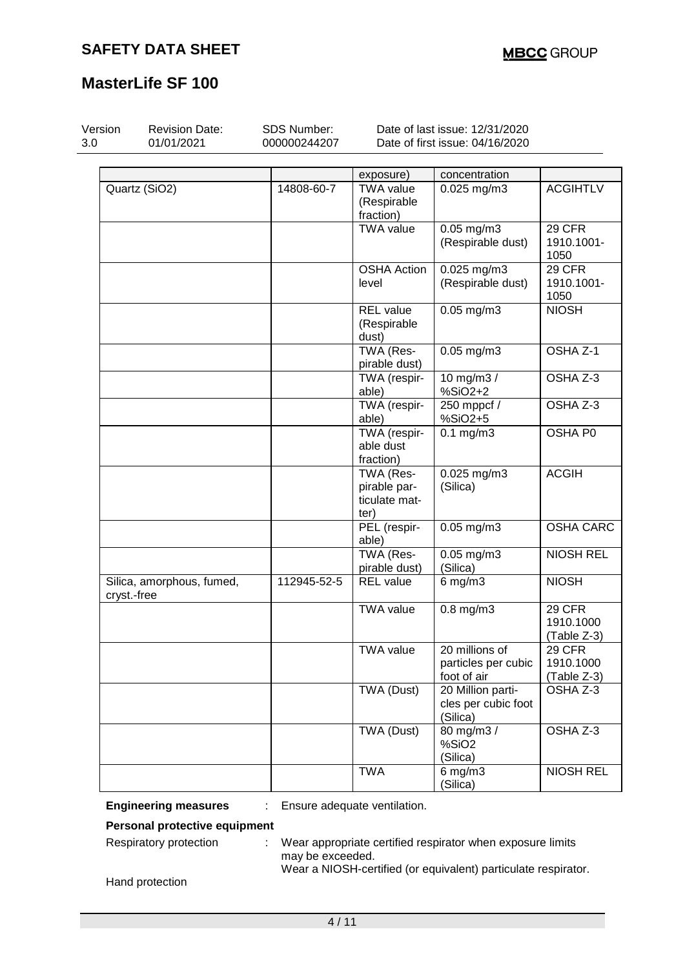| Version<br>3.0 | <b>Revision Date:</b><br>01/01/2021      | SDS Number:<br>000000244207 |                                                    | Date of last issue: 12/31/2020<br>Date of first issue: 04/16/2020 |                                           |
|----------------|------------------------------------------|-----------------------------|----------------------------------------------------|-------------------------------------------------------------------|-------------------------------------------|
|                |                                          |                             | exposure)                                          | concentration                                                     |                                           |
|                | Quartz (SiO2)                            | 14808-60-7                  | <b>TWA value</b><br>(Respirable<br>fraction)       | 0.025 mg/m3                                                       | <b>ACGIHTLV</b>                           |
|                |                                          |                             | <b>TWA value</b>                                   | $0.05$ mg/m $3$<br>(Respirable dust)                              | 29 CFR<br>1910.1001-<br>1050              |
|                |                                          |                             | <b>OSHA Action</b><br>level                        | 0.025 mg/m3<br>(Respirable dust)                                  | 29 CFR<br>1910.1001-<br>1050              |
|                |                                          |                             | <b>REL</b> value<br>(Respirable<br>dust)           | $0.05$ mg/m $3$                                                   | <b>NIOSH</b>                              |
|                |                                          |                             | TWA (Res-<br>pirable dust)                         | $0.05$ mg/m $3$                                                   | OSHA Z-1                                  |
|                |                                          |                             | TWA (respir-<br>able)                              | 10 mg/m3 /<br>%SiO2+2                                             | OSHA Z-3                                  |
|                |                                          |                             | TWA (respir-<br>able)                              | 250 mppcf /<br>%SiO2+5                                            | OSHA Z-3                                  |
|                |                                          |                             | TWA (respir-<br>able dust<br>fraction)             | $0.1$ mg/m $3$                                                    | OSHA P0                                   |
|                |                                          |                             | TWA (Res-<br>pirable par-<br>ticulate mat-<br>ter) | 0.025 mg/m3<br>(Silica)                                           | <b>ACGIH</b>                              |
|                |                                          |                             | PEL (respir-<br>able)                              | $0.05$ mg/m $3$                                                   | <b>OSHA CARC</b>                          |
|                |                                          |                             | TWA (Res-<br>pirable dust)                         | $\overline{0.05}$ mg/m3<br>(Silica)                               | <b>NIOSH REL</b>                          |
|                | Silica, amorphous, fumed,<br>cryst.-free | 112945-52-5                 | <b>REL</b> value                                   | $6$ mg/m $3$                                                      | <b>NIOSH</b>                              |
|                |                                          |                             | <b>TWA value</b>                                   | $0.8$ mg/m $3$                                                    | 29 CFR<br>1910.1000<br>(Table Z-3)        |
|                |                                          |                             | <b>TWA value</b>                                   | 20 millions of<br>particles per cubic<br>foot of air              | <b>29 CFR</b><br>1910.1000<br>(Table Z-3) |
|                |                                          |                             | TWA (Dust)                                         | 20 Million parti-<br>cles per cubic foot<br>(Silica)              | OSHA Z-3                                  |
|                |                                          |                             | TWA (Dust)                                         | 80 mg/m3 /<br>%SiO2<br>(Silica)                                   | OSHA Z-3                                  |
|                |                                          |                             | <b>TWA</b>                                         | $6$ mg/m $3$<br>(Silica)                                          | <b>NIOSH REL</b>                          |

**Engineering measures** : Ensure adequate ventilation.

**Personal protective equipment**

Respiratory protection : Wear appropriate certified respirator when exposure limits may be exceeded. Wear a NIOSH-certified (or equivalent) particulate respirator.

Hand protection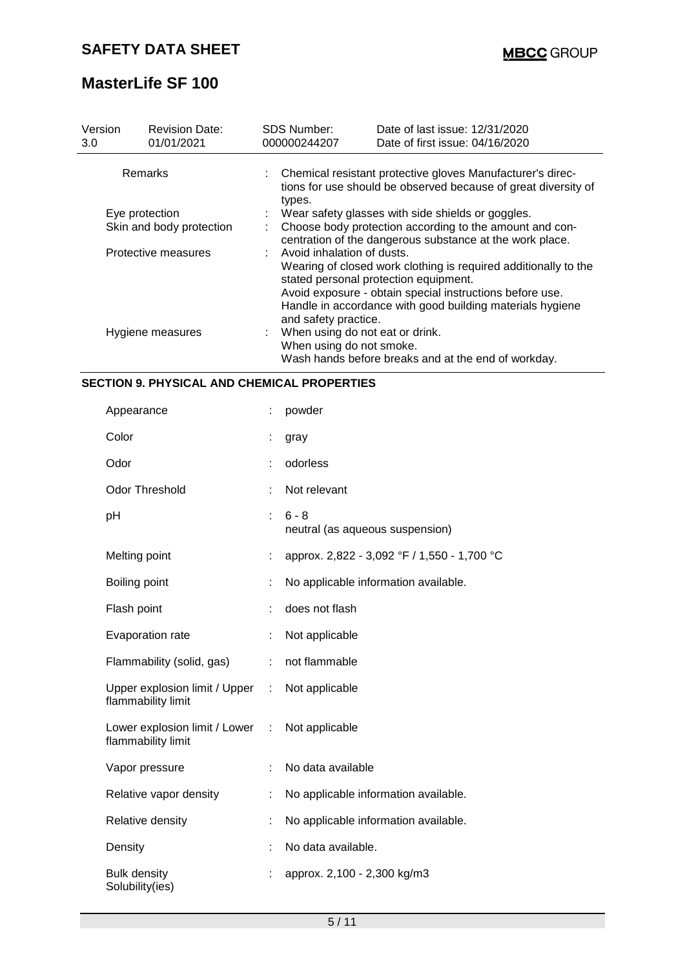| Version<br>3.0           | <b>Revision Date:</b><br>01/01/2021 | <b>SDS Number:</b><br>000000244207                          | Date of last issue: 12/31/2020<br>Date of first issue: 04/16/2020                                                                                                                                                                 |  |  |  |  |
|--------------------------|-------------------------------------|-------------------------------------------------------------|-----------------------------------------------------------------------------------------------------------------------------------------------------------------------------------------------------------------------------------|--|--|--|--|
|                          | Remarks                             | types.                                                      | : Chemical resistant protective gloves Manufacturer's direc-<br>tions for use should be observed because of great diversity of                                                                                                    |  |  |  |  |
|                          | Eye protection                      |                                                             | Wear safety glasses with side shields or goggles.                                                                                                                                                                                 |  |  |  |  |
| Skin and body protection |                                     |                                                             | Choose body protection according to the amount and con-<br>centration of the dangerous substance at the work place.                                                                                                               |  |  |  |  |
|                          | Protective measures                 | Avoid inhalation of dusts.<br>and safety practice.          | Wearing of closed work clothing is required additionally to the<br>stated personal protection equipment.<br>Avoid exposure - obtain special instructions before use.<br>Handle in accordance with good building materials hygiene |  |  |  |  |
|                          | Hygiene measures                    | When using do not eat or drink.<br>When using do not smoke. | Wash hands before breaks and at the end of workday.                                                                                                                                                                               |  |  |  |  |

### **SECTION 9. PHYSICAL AND CHEMICAL PROPERTIES**

| Appearance                                            |                           | powder                                      |
|-------------------------------------------------------|---------------------------|---------------------------------------------|
| Color                                                 | İ                         | gray                                        |
| Odor                                                  |                           | odorless                                    |
| <b>Odor Threshold</b>                                 |                           | Not relevant                                |
| pH                                                    |                           | $6 - 8$<br>neutral (as aqueous suspension)  |
| Melting point                                         | t                         | approx. 2,822 - 3,092 °F / 1,550 - 1,700 °C |
| Boiling point                                         | t                         | No applicable information available.        |
| Flash point                                           | t                         | does not flash                              |
| Evaporation rate                                      | t.                        | Not applicable                              |
| Flammability (solid, gas)                             | ÷                         | not flammable                               |
| Upper explosion limit / Upper :<br>flammability limit |                           | Not applicable                              |
| Lower explosion limit / Lower<br>flammability limit   | $\mathbb{Z}^{\mathbb{Z}}$ | Not applicable                              |
| Vapor pressure                                        |                           | No data available                           |
| Relative vapor density                                | ÷                         | No applicable information available.        |
| Relative density                                      |                           | No applicable information available.        |
| Density                                               |                           | No data available.                          |
| <b>Bulk density</b><br>Solubility(ies)                |                           | approx. 2,100 - 2,300 kg/m3                 |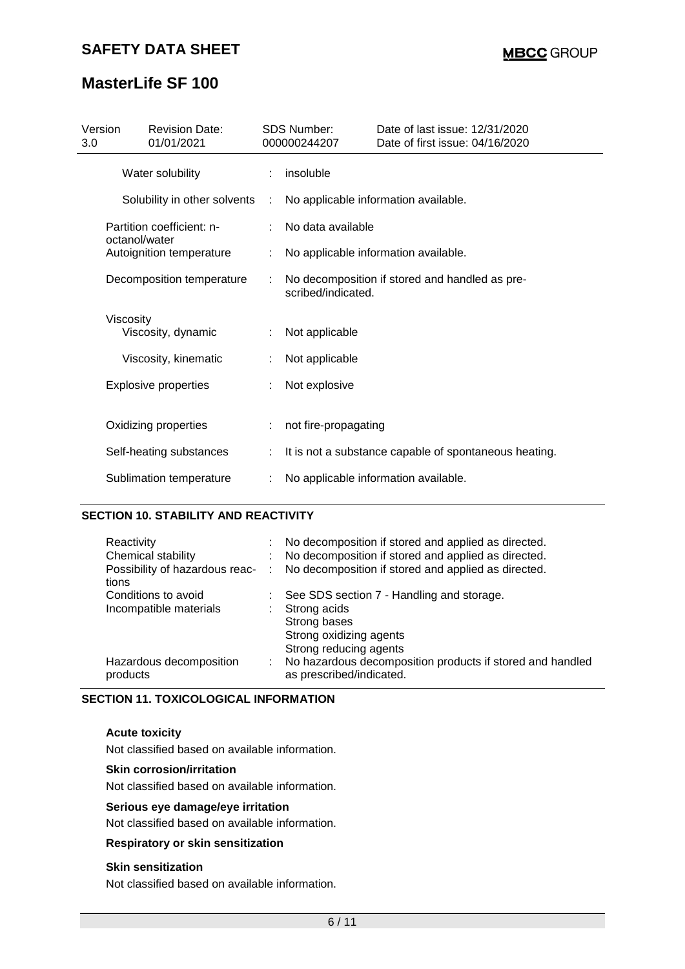## **SAFETY DATA SHEET**

# **MasterLife SF 100**

| Version<br>3.0 | <b>Revision Date:</b><br>01/01/2021        |   | <b>SDS Number:</b><br>000000244207 | Date of last issue: 12/31/2020<br>Date of first issue: 04/16/2020 |  |
|----------------|--------------------------------------------|---|------------------------------------|-------------------------------------------------------------------|--|
|                | Water solubility                           |   | insoluble                          |                                                                   |  |
|                | Solubility in other solvents               | ÷ |                                    | No applicable information available.                              |  |
|                | Partition coefficient: n-<br>octanol/water |   | No data available                  |                                                                   |  |
|                | Autoignition temperature                   |   |                                    | No applicable information available.                              |  |
|                | Decomposition temperature                  |   | scribed/indicated.                 | No decomposition if stored and handled as pre-                    |  |
|                | Viscosity<br>Viscosity, dynamic            |   | Not applicable                     |                                                                   |  |
|                | Viscosity, kinematic                       |   | Not applicable                     |                                                                   |  |
|                | <b>Explosive properties</b>                |   | Not explosive                      |                                                                   |  |
|                | Oxidizing properties                       |   | not fire-propagating               |                                                                   |  |
|                | Self-heating substances                    |   |                                    | It is not a substance capable of spontaneous heating.             |  |
|                | Sublimation temperature                    |   |                                    | No applicable information available.                              |  |

#### **SECTION 10. STABILITY AND REACTIVITY**

| Reactivity<br>Chemical stability<br>Possibility of hazardous reac-<br>tions | $\sim 100$ | No decomposition if stored and applied as directed.<br>No decomposition if stored and applied as directed.<br>No decomposition if stored and applied as directed. |
|-----------------------------------------------------------------------------|------------|-------------------------------------------------------------------------------------------------------------------------------------------------------------------|
| Conditions to avoid<br>Incompatible materials                               |            | See SDS section 7 - Handling and storage.<br>Strong acids<br>Strong bases<br>Strong oxidizing agents<br>Strong reducing agents                                    |
| Hazardous decomposition<br>products                                         | ÷.         | No hazardous decomposition products if stored and handled<br>as prescribed/indicated.                                                                             |

#### **SECTION 11. TOXICOLOGICAL INFORMATION**

#### **Acute toxicity**

Not classified based on available information.

#### **Skin corrosion/irritation**

Not classified based on available information.

#### **Serious eye damage/eye irritation**

Not classified based on available information.

#### **Respiratory or skin sensitization**

#### **Skin sensitization**

Not classified based on available information.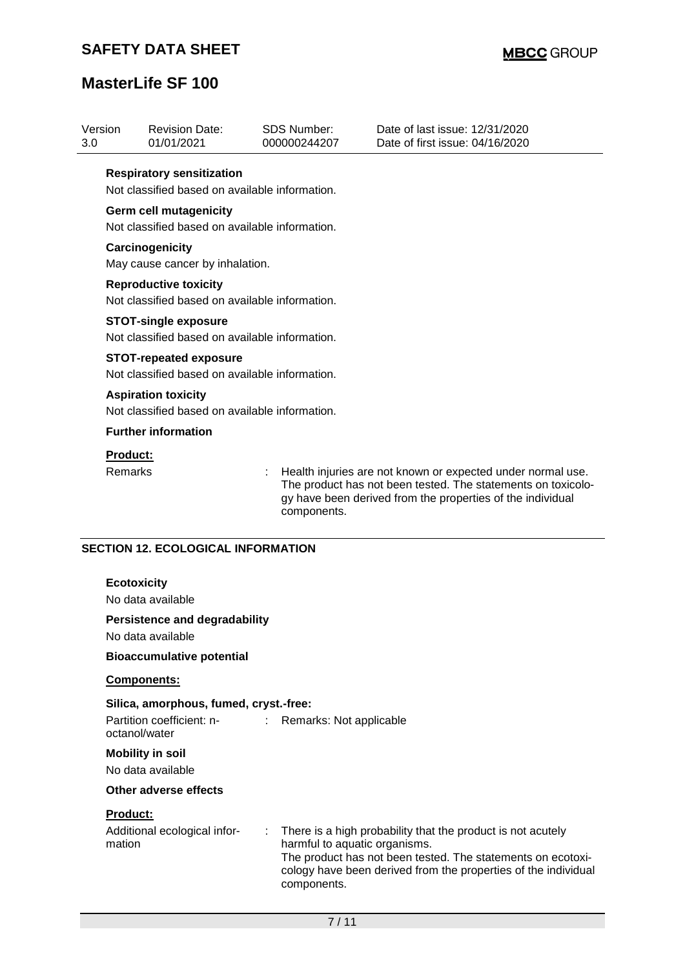## **SAFETY DATA SHEET**

# **MasterLife SF 100**

| Version<br>3.0     | <b>Revision Date:</b><br>01/01/2021                                                  |  | <b>SDS Number:</b><br>000000244207                                                                                                                                                                       | Date of last issue: 12/31/2020<br>Date of first issue: 04/16/2020                                                                                                                            |  |  |
|--------------------|--------------------------------------------------------------------------------------|--|----------------------------------------------------------------------------------------------------------------------------------------------------------------------------------------------------------|----------------------------------------------------------------------------------------------------------------------------------------------------------------------------------------------|--|--|
|                    | <b>Respiratory sensitization</b><br>Not classified based on available information.   |  |                                                                                                                                                                                                          |                                                                                                                                                                                              |  |  |
|                    | <b>Germ cell mutagenicity</b><br>Not classified based on available information.      |  |                                                                                                                                                                                                          |                                                                                                                                                                                              |  |  |
|                    | Carcinogenicity<br>May cause cancer by inhalation.                                   |  |                                                                                                                                                                                                          |                                                                                                                                                                                              |  |  |
|                    | <b>Reproductive toxicity</b><br>Not classified based on available information.       |  |                                                                                                                                                                                                          |                                                                                                                                                                                              |  |  |
|                    | <b>STOT-single exposure</b><br>Not classified based on available information.        |  |                                                                                                                                                                                                          |                                                                                                                                                                                              |  |  |
|                    | <b>STOT-repeated exposure</b><br>Not classified based on available information.      |  |                                                                                                                                                                                                          |                                                                                                                                                                                              |  |  |
|                    | <b>Aspiration toxicity</b><br>Not classified based on available information.         |  |                                                                                                                                                                                                          |                                                                                                                                                                                              |  |  |
|                    | <b>Further information</b>                                                           |  |                                                                                                                                                                                                          |                                                                                                                                                                                              |  |  |
|                    | Product:<br>Remarks                                                                  |  | Health injuries are not known or expected under normal use.<br>The product has not been tested. The statements on toxicolo-<br>gy have been derived from the properties of the individual<br>components. |                                                                                                                                                                                              |  |  |
|                    | <b>SECTION 12. ECOLOGICAL INFORMATION</b><br><b>Ecotoxicity</b><br>No data available |  |                                                                                                                                                                                                          |                                                                                                                                                                                              |  |  |
|                    | <b>Persistence and degradability</b><br>No data available                            |  |                                                                                                                                                                                                          |                                                                                                                                                                                              |  |  |
|                    | <b>Bioaccumulative potential</b>                                                     |  |                                                                                                                                                                                                          |                                                                                                                                                                                              |  |  |
|                    | <b>Components:</b>                                                                   |  |                                                                                                                                                                                                          |                                                                                                                                                                                              |  |  |
|                    | Silica, amorphous, fumed, cryst.-free:<br>Partition coefficient: n-<br>octanol/water |  | Remarks: Not applicable                                                                                                                                                                                  |                                                                                                                                                                                              |  |  |
|                    | <b>Mobility in soil</b><br>No data available                                         |  |                                                                                                                                                                                                          |                                                                                                                                                                                              |  |  |
|                    | Other adverse effects                                                                |  |                                                                                                                                                                                                          |                                                                                                                                                                                              |  |  |
| Product:<br>mation | Additional ecological infor-                                                         |  | harmful to aquatic organisms.<br>components.                                                                                                                                                             | There is a high probability that the product is not acutely<br>The product has not been tested. The statements on ecotoxi-<br>cology have been derived from the properties of the individual |  |  |
|                    |                                                                                      |  | $7/11$                                                                                                                                                                                                   |                                                                                                                                                                                              |  |  |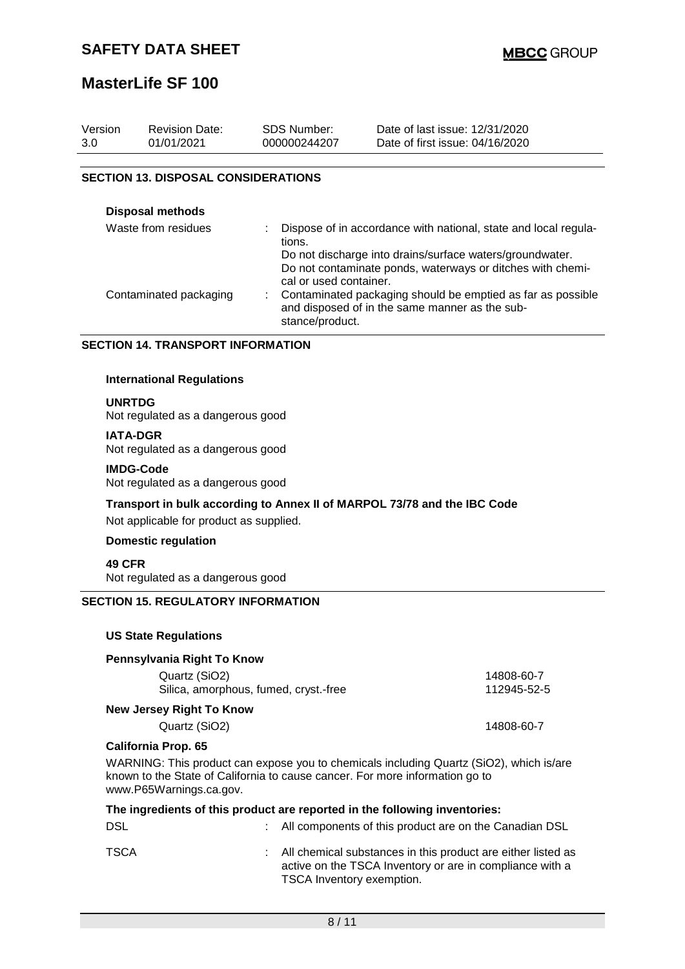| Version<br>3.0                             | <b>Revision Date:</b><br>01/01/2021 | <b>SDS Number:</b><br>000000244207 | Date of last issue: 12/31/2020<br>Date of first issue: 04/16/2020 |  |  |  |
|--------------------------------------------|-------------------------------------|------------------------------------|-------------------------------------------------------------------|--|--|--|
| <b>SECTION 13. DISPOSAL CONSIDERATIONS</b> |                                     |                                    |                                                                   |  |  |  |
|                                            | <b>Disposal methods</b><br>$\cdots$ |                                    |                                                                   |  |  |  |

| Waste from residues    | Dispose of in accordance with national, state and local regula-<br>tions.                                                          |
|------------------------|------------------------------------------------------------------------------------------------------------------------------------|
|                        | Do not discharge into drains/surface waters/groundwater.                                                                           |
|                        | Do not contaminate ponds, waterways or ditches with chemi-<br>cal or used container.                                               |
| Contaminated packaging | : Contaminated packaging should be emptied as far as possible<br>and disposed of in the same manner as the sub-<br>stance/product. |

#### **SECTION 14. TRANSPORT INFORMATION**

#### **International Regulations**

#### **UNRTDG**

Not regulated as a dangerous good

#### **IATA-DGR**

Not regulated as a dangerous good

#### **IMDG-Code**

Not regulated as a dangerous good

# **Transport in bulk according to Annex II of MARPOL 73/78 and the IBC Code**

Not applicable for product as supplied.

### **Domestic regulation**

#### **49 CFR** Not regulated as a dangerous good

#### **SECTION 15. REGULATORY INFORMATION**

#### **US State Regulations**

| Pennsylvania Right To Know                                                                    |             |
|-----------------------------------------------------------------------------------------------|-------------|
| Quartz (SiO2)                                                                                 | 14808-60-7  |
| Silica, amorphous, fumed, cryst.-free                                                         | 112945-52-5 |
| New Jersey Right To Know                                                                      |             |
| Quartz (SiO2)                                                                                 | 14808-60-7  |
| <b>California Prop. 65</b>                                                                    |             |
| $MLADHIRLO$ . This nuaduates a consession to shamisels including $Q_{L2}$ $(0.00)$ which is a |             |

WARNING: This product can expose you to chemicals including Quartz (SiO2), which is/are known to the State of California to cause cancer. For more information go to www.P65Warnings.ca.gov.

|            | The ingredients of this product are reported in the following inventories:                                                                              |
|------------|---------------------------------------------------------------------------------------------------------------------------------------------------------|
| <b>DSL</b> | : All components of this product are on the Canadian DSL                                                                                                |
| TSCA       | : All chemical substances in this product are either listed as<br>active on the TSCA Inventory or are in compliance with a<br>TSCA Inventory exemption. |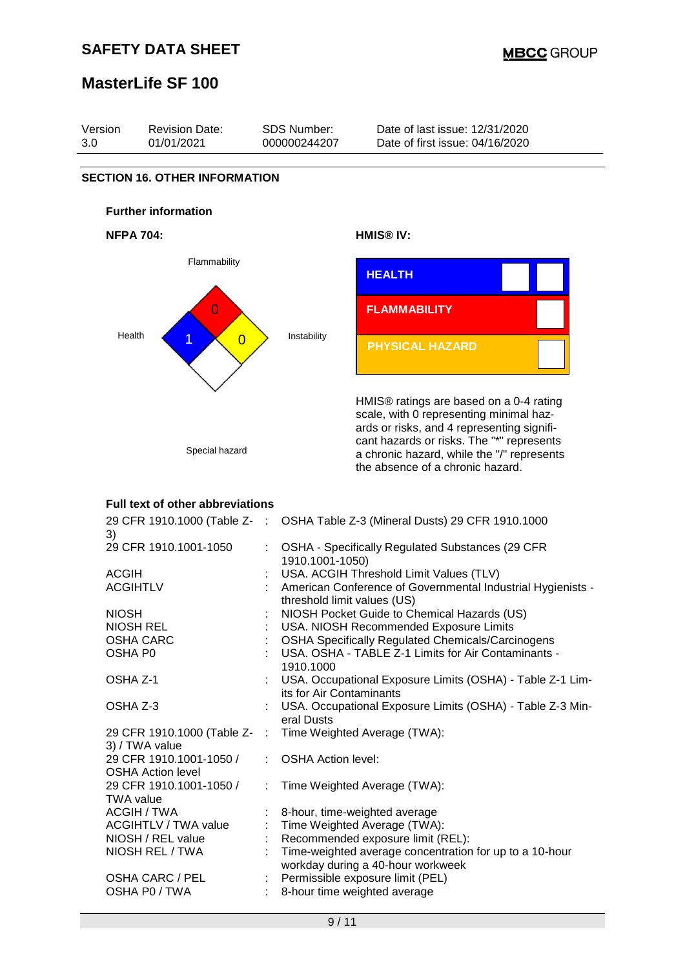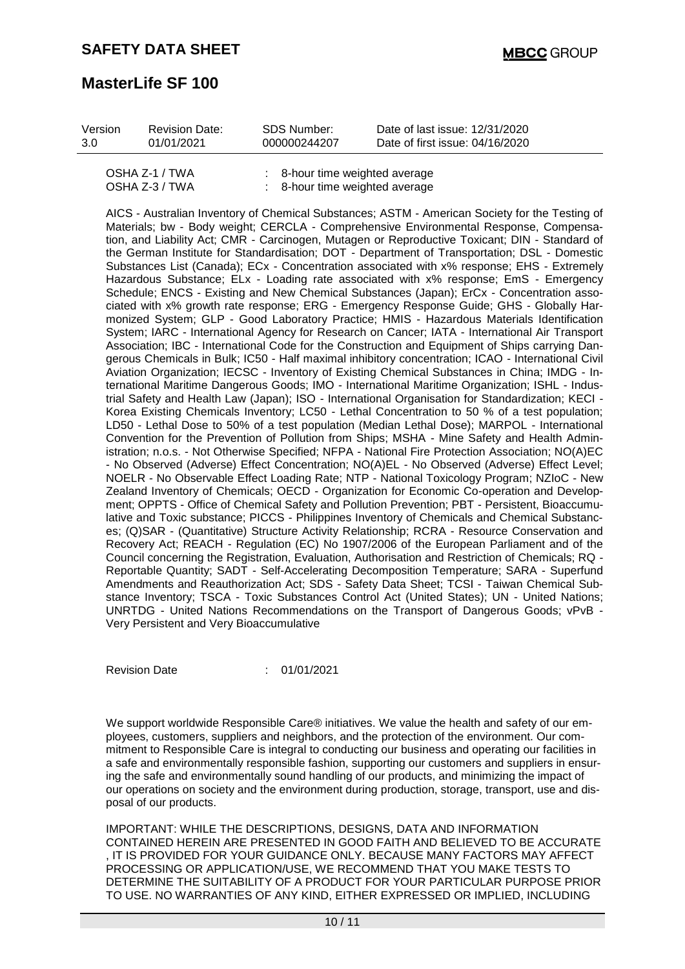| Version | <b>Revision Date:</b>            | SDS Number:  | Date of last issue: 12/31/2020                                                         |
|---------|----------------------------------|--------------|----------------------------------------------------------------------------------------|
| 3.0     | 01/01/2021                       | 000000244207 | Date of first issue: 04/16/2020                                                        |
|         | OSHA Z-1 / TWA<br>OSHA Z-3 / TWA |              | $\therefore$ 8-hour time weighted average<br>$\therefore$ 8-hour time weighted average |

AICS - Australian Inventory of Chemical Substances; ASTM - American Society for the Testing of Materials; bw - Body weight; CERCLA - Comprehensive Environmental Response, Compensation, and Liability Act; CMR - Carcinogen, Mutagen or Reproductive Toxicant; DIN - Standard of the German Institute for Standardisation; DOT - Department of Transportation; DSL - Domestic Substances List (Canada); ECx - Concentration associated with x% response; EHS - Extremely Hazardous Substance; ELx - Loading rate associated with x% response; EmS - Emergency Schedule; ENCS - Existing and New Chemical Substances (Japan); ErCx - Concentration associated with x% growth rate response; ERG - Emergency Response Guide; GHS - Globally Harmonized System; GLP - Good Laboratory Practice; HMIS - Hazardous Materials Identification System; IARC - International Agency for Research on Cancer; IATA - International Air Transport Association; IBC - International Code for the Construction and Equipment of Ships carrying Dangerous Chemicals in Bulk; IC50 - Half maximal inhibitory concentration; ICAO - International Civil Aviation Organization; IECSC - Inventory of Existing Chemical Substances in China; IMDG - International Maritime Dangerous Goods; IMO - International Maritime Organization; ISHL - Industrial Safety and Health Law (Japan); ISO - International Organisation for Standardization; KECI - Korea Existing Chemicals Inventory; LC50 - Lethal Concentration to 50 % of a test population; LD50 - Lethal Dose to 50% of a test population (Median Lethal Dose); MARPOL - International Convention for the Prevention of Pollution from Ships; MSHA - Mine Safety and Health Administration; n.o.s. - Not Otherwise Specified; NFPA - National Fire Protection Association; NO(A)EC - No Observed (Adverse) Effect Concentration; NO(A)EL - No Observed (Adverse) Effect Level; NOELR - No Observable Effect Loading Rate; NTP - National Toxicology Program; NZIoC - New Zealand Inventory of Chemicals; OECD - Organization for Economic Co-operation and Development; OPPTS - Office of Chemical Safety and Pollution Prevention; PBT - Persistent, Bioaccumulative and Toxic substance; PICCS - Philippines Inventory of Chemicals and Chemical Substances; (Q)SAR - (Quantitative) Structure Activity Relationship; RCRA - Resource Conservation and Recovery Act; REACH - Regulation (EC) No 1907/2006 of the European Parliament and of the Council concerning the Registration, Evaluation, Authorisation and Restriction of Chemicals; RQ - Reportable Quantity; SADT - Self-Accelerating Decomposition Temperature; SARA - Superfund Amendments and Reauthorization Act; SDS - Safety Data Sheet; TCSI - Taiwan Chemical Substance Inventory; TSCA - Toxic Substances Control Act (United States); UN - United Nations; UNRTDG - United Nations Recommendations on the Transport of Dangerous Goods; vPvB - Very Persistent and Very Bioaccumulative

8-hour time weighted average

Revision Date : 01/01/2021

We support worldwide Responsible Care® initiatives. We value the health and safety of our employees, customers, suppliers and neighbors, and the protection of the environment. Our commitment to Responsible Care is integral to conducting our business and operating our facilities in a safe and environmentally responsible fashion, supporting our customers and suppliers in ensuring the safe and environmentally sound handling of our products, and minimizing the impact of our operations on society and the environment during production, storage, transport, use and disposal of our products.

IMPORTANT: WHILE THE DESCRIPTIONS, DESIGNS, DATA AND INFORMATION CONTAINED HEREIN ARE PRESENTED IN GOOD FAITH AND BELIEVED TO BE ACCURATE , IT IS PROVIDED FOR YOUR GUIDANCE ONLY. BECAUSE MANY FACTORS MAY AFFECT PROCESSING OR APPLICATION/USE, WE RECOMMEND THAT YOU MAKE TESTS TO DETERMINE THE SUITABILITY OF A PRODUCT FOR YOUR PARTICULAR PURPOSE PRIOR TO USE. NO WARRANTIES OF ANY KIND, EITHER EXPRESSED OR IMPLIED, INCLUDING